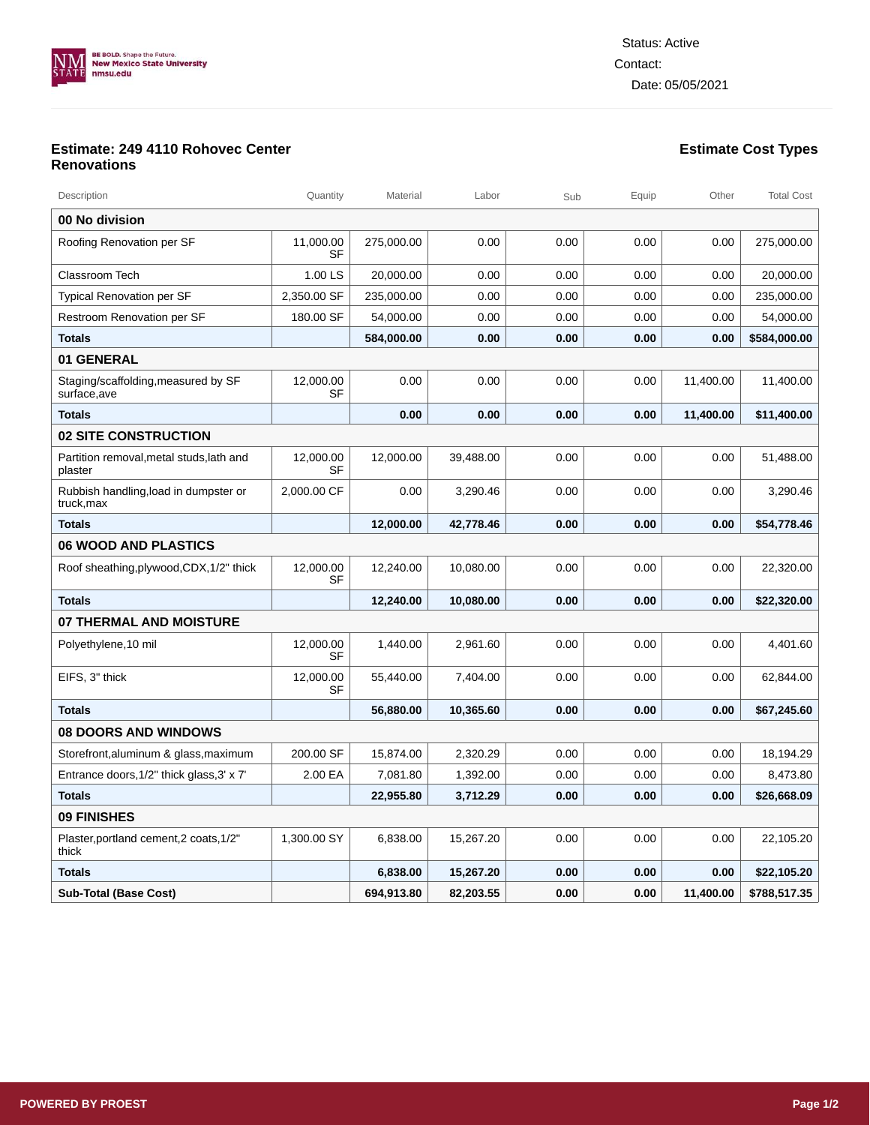

## **Estimate: 249 4110 Rohovec Center Renovations**

| Description                                         | Quantity               | Material   | Labor     | Sub  | Equip | Other     | <b>Total Cost</b> |  |
|-----------------------------------------------------|------------------------|------------|-----------|------|-------|-----------|-------------------|--|
| 00 No division                                      |                        |            |           |      |       |           |                   |  |
| Roofing Renovation per SF                           | 11,000.00<br>SF        | 275,000.00 | 0.00      | 0.00 | 0.00  | 0.00      | 275,000.00        |  |
| Classroom Tech                                      | 1.00 LS                | 20.000.00  | 0.00      | 0.00 | 0.00  | 0.00      | 20,000.00         |  |
| <b>Typical Renovation per SF</b>                    | 2,350.00 SF            | 235,000.00 | 0.00      | 0.00 | 0.00  | 0.00      | 235,000.00        |  |
| Restroom Renovation per SF                          | 180.00 SF              | 54,000.00  | 0.00      | 0.00 | 0.00  | 0.00      | 54,000.00         |  |
| <b>Totals</b>                                       |                        | 584,000.00 | 0.00      | 0.00 | 0.00  | 0.00      | \$584,000.00      |  |
| 01 GENERAL                                          |                        |            |           |      |       |           |                   |  |
| Staging/scaffolding, measured by SF<br>surface,ave  | 12,000.00<br>SF        | 0.00       | 0.00      | 0.00 | 0.00  | 11,400.00 | 11,400.00         |  |
| <b>Totals</b>                                       |                        | 0.00       | 0.00      | 0.00 | 0.00  | 11,400.00 | \$11,400.00       |  |
| <b>02 SITE CONSTRUCTION</b>                         |                        |            |           |      |       |           |                   |  |
| Partition removal, metal studs, lath and<br>plaster | 12,000.00<br><b>SF</b> | 12,000.00  | 39,488.00 | 0.00 | 0.00  | 0.00      | 51,488.00         |  |
| Rubbish handling, load in dumpster or<br>truck,max  | 2,000.00 CF            | 0.00       | 3,290.46  | 0.00 | 0.00  | 0.00      | 3,290.46          |  |
| <b>Totals</b>                                       |                        | 12,000.00  | 42,778.46 | 0.00 | 0.00  | 0.00      | \$54,778.46       |  |
| <b>06 WOOD AND PLASTICS</b>                         |                        |            |           |      |       |           |                   |  |
| Roof sheathing, plywood, CDX, 1/2" thick            | 12,000.00<br>SF        | 12,240.00  | 10,080.00 | 0.00 | 0.00  | 0.00      | 22,320.00         |  |
| <b>Totals</b>                                       |                        | 12,240.00  | 10,080.00 | 0.00 | 0.00  | 0.00      | \$22,320.00       |  |
| <b>07 THERMAL AND MOISTURE</b>                      |                        |            |           |      |       |           |                   |  |
| Polyethylene, 10 mil                                | 12,000.00<br>SF        | 1,440.00   | 2,961.60  | 0.00 | 0.00  | 0.00      | 4,401.60          |  |
| EIFS, 3" thick                                      | 12,000.00<br><b>SF</b> | 55,440.00  | 7,404.00  | 0.00 | 0.00  | 0.00      | 62,844.00         |  |
| <b>Totals</b>                                       |                        | 56,880.00  | 10,365.60 | 0.00 | 0.00  | 0.00      | \$67,245.60       |  |
| <b>08 DOORS AND WINDOWS</b>                         |                        |            |           |      |       |           |                   |  |
| Storefront,aluminum & glass,maximum                 | 200.00 SF              | 15,874.00  | 2,320.29  | 0.00 | 0.00  | 0.00      | 18,194.29         |  |
| Entrance doors, 1/2" thick glass, 3' x 7'           | 2.00 EA                | 7,081.80   | 1,392.00  | 0.00 | 0.00  | 0.00      | 8,473.80          |  |
| <b>Totals</b>                                       |                        | 22.955.80  | 3.712.29  | 0.00 | 0.00  | 0.00      | \$26,668.09       |  |
| 09 FINISHES                                         |                        |            |           |      |       |           |                   |  |
| Plaster, portland cement, 2 coats, 1/2"<br>thick    | 1,300.00 SY            | 6,838.00   | 15,267.20 | 0.00 | 0.00  | 0.00      | 22,105.20         |  |
| <b>Totals</b>                                       |                        | 6,838.00   | 15,267.20 | 0.00 | 0.00  | 0.00      | \$22,105.20       |  |
| <b>Sub-Total (Base Cost)</b>                        |                        | 694,913.80 | 82,203.55 | 0.00 | 0.00  | 11,400.00 | \$788,517.35      |  |

**Estimate Cost Types**